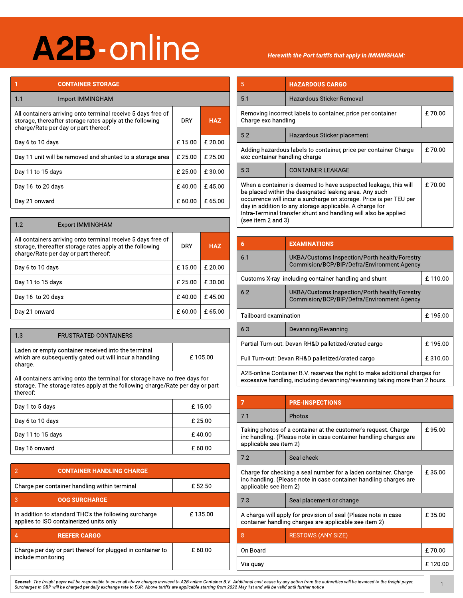| 1                                                                                                                                                                | <b>CONTAINER STORAGE</b> |         |            |
|------------------------------------------------------------------------------------------------------------------------------------------------------------------|--------------------------|---------|------------|
| 1.1                                                                                                                                                              | Import IMMINGHAM         |         |            |
| All containers arriving onto terminal receive 5 days free of<br>storage, thereafter storage rates apply at the following<br>charge/Rate per day or part thereof: |                          | DRY     | <b>HAZ</b> |
| Day 6 to 10 days                                                                                                                                                 |                          | £15.00  | $£$ 20.00  |
| Day 11 unit will be removed and shunted to a storage area                                                                                                        |                          | £25.00  | £25.00     |
| Day 11 to 15 days                                                                                                                                                |                          | £ 25.00 | £30.00     |
| Day 16 to 20 days                                                                                                                                                |                          | £40.00  | £45.00     |
| Day 21 onward                                                                                                                                                    |                          | £ 60.00 | £65.00     |

| 1.2                                                                                                                                                              | <b>Export IMMINGHAM</b> |         |            |
|------------------------------------------------------------------------------------------------------------------------------------------------------------------|-------------------------|---------|------------|
| All containers arriving onto terminal receive 5 days free of<br>storage, thereafter storage rates apply at the following<br>charge/Rate per day or part thereof: |                         | DRY     | <b>HAZ</b> |
| Day 6 to 10 days                                                                                                                                                 |                         | £15.00  | £ 20.00    |
| Day 11 to 15 days                                                                                                                                                |                         | £ 25.00 | £30.00     |
| Day 16 to 20 days                                                                                                                                                |                         | £40.00  | £45.00     |
| Day 21 onward                                                                                                                                                    |                         | £60.00  | £65.00     |

| 1.3                                                                                                                                                                      | <b>FRUSTRATED CONTAINERS</b> |         |
|--------------------------------------------------------------------------------------------------------------------------------------------------------------------------|------------------------------|---------|
| Laden or empty container received into the terminal<br>which are subsequently gated out will incur a handling<br>£105.00<br>charge.                                      |                              |         |
| All containers arriving onto the terminal for storage have no free days for<br>storage. The storage rates apply at the following charge/Rate per day or part<br>thereof: |                              |         |
| £15.00<br>Day 1 to 5 days                                                                                                                                                |                              |         |
| Day 6 to 10 days                                                                                                                                                         |                              | £25.00  |
| Day 11 to 15 days                                                                                                                                                        |                              | £40.00  |
| Day 16 onward                                                                                                                                                            |                              | £ 60.00 |

|                                                                                                  | <b>CONTAINER HANDLING CHARGE</b> |         |  |
|--------------------------------------------------------------------------------------------------|----------------------------------|---------|--|
| Charge per container handling within terminal<br>£ 52.50                                         |                                  |         |  |
| 3                                                                                                | <b>OOG SURCHARGE</b>             |         |  |
| In addition to standard THC's the following surcharge<br>applies to ISO containerized units only | £135.00                          |         |  |
| <b>REEFER CARGO</b><br>4                                                                         |                                  |         |  |
| Charge per day or part thereof for plugged in container to<br>include monitorina                 |                                  | £ 60.00 |  |

#### **Herewith the Port tariffs that apply in IMMINGHAM:**

| 5                                                                                                                                                                                                                                                                                                                                                   | <b>HAZARDOUS CARGO</b>      |        |  |
|-----------------------------------------------------------------------------------------------------------------------------------------------------------------------------------------------------------------------------------------------------------------------------------------------------------------------------------------------------|-----------------------------|--------|--|
| 5.1                                                                                                                                                                                                                                                                                                                                                 | Hazardous Sticker Removal   |        |  |
| £70.00<br>Removing incorrect labels to container, price per container<br>Charge exc handling                                                                                                                                                                                                                                                        |                             |        |  |
| 5.2                                                                                                                                                                                                                                                                                                                                                 | Hazardous Sticker placement |        |  |
| £70.00<br>Adding hazardous labels to container, price per container Charge<br>exc container handling charge                                                                                                                                                                                                                                         |                             |        |  |
| 5.3<br><b>CONTAINER LEAKAGE</b>                                                                                                                                                                                                                                                                                                                     |                             |        |  |
| When a container is deemed to have suspected leakage, this will<br>be placed within the designated leaking area. Any such<br>occurrence will incur a surcharge on storage. Price is per TEU per<br>day in addition to any storage applicable. A charge for<br>Intra-Terminal transfer shunt and handling will also be applied<br>(see item 2 and 3) |                             | £70.00 |  |

| 6                                                                                                                                                          | <b>EXAMINATIONS</b>                                                                         |         |  |
|------------------------------------------------------------------------------------------------------------------------------------------------------------|---------------------------------------------------------------------------------------------|---------|--|
| 6.1                                                                                                                                                        | UKBA/Customs Inspection/Porth health/Forestry<br>Commision/BCP/BIP/Defra/Environment Agency |         |  |
|                                                                                                                                                            | Customs X-ray including container handling and shunt                                        | £110.00 |  |
| 6.2                                                                                                                                                        | UKBA/Customs Inspection/Porth health/Forestry<br>Commision/BCP/BIP/Defra/Environment Agency |         |  |
|                                                                                                                                                            | Tailboard examination<br>£195.00                                                            |         |  |
| 6.3<br>Devanning/Revanning                                                                                                                                 |                                                                                             |         |  |
| £195.00<br>Partial Turn-out: Devan RH&D palletized/crated cargo                                                                                            |                                                                                             |         |  |
| £310.00<br>Full Turn-out: Devan RH&D palletized/crated cargo                                                                                               |                                                                                             |         |  |
| A2B-online Container B.V. reserves the right to make additional charges for<br>excessive handling, including devanning/revanning taking more than 2 hours. |                                                                                             |         |  |

| 7                                                                                                                                                                        | <b>PRE-INSPECTIONS</b>    |        |
|--------------------------------------------------------------------------------------------------------------------------------------------------------------------------|---------------------------|--------|
| 7.1                                                                                                                                                                      | Photos                    |        |
| £95.00<br>Taking photos of a container at the customer's request. Charge<br>inc handling. (Please note in case container handling charges are<br>applicable see item 2)  |                           |        |
| 7.2                                                                                                                                                                      | Seal check                |        |
| Charge for checking a seal number for a laden container. Charge<br>£35.00<br>inc handling. (Please note in case container handling charges are<br>applicable see item 2) |                           |        |
| 7.3                                                                                                                                                                      | Seal placement or change  |        |
| £35.00<br>A charge will apply for provision of seal (Please note in case<br>container handling charges are applicable see item 2)                                        |                           |        |
| 8                                                                                                                                                                        | <b>RESTOWS (ANY SIZE)</b> |        |
| On Board                                                                                                                                                                 |                           | £70.00 |
| £120.00<br>Via quay                                                                                                                                                      |                           |        |

**General:** The freight payer will be responsible to cover all above charges invoiced to A2B-online Container B.V. Additional cost cause by any action from the authorities will be invoiced to the freight payer.<br>Surcharges i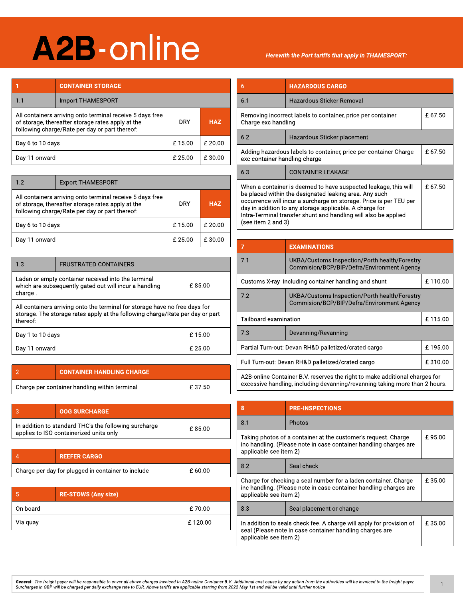### 1 CONTAINER STORAGE 1.1 | Import THAMESPORT All containers arriving onto terminal receive 5 days free of storage, thereafter storage rates apply at the following charge/Rate per day or part thereof: DRY **HAZ** Day 6 to 10 days  $\left| \begin{array}{c} E \end{array} \right|$  E 15.00  $\left| \begin{array}{c} E \end{array} \right|$  E 20.00 Day 11 onward  $\left| \begin{array}{c} E \ 25.00 \end{array} \right|$   $\left| \begin{array}{c} E \ 30.00 \end{array} \right|$

| 1.2                                                                                                                                                              | <b>Export THAMESPORT</b> |            |            |
|------------------------------------------------------------------------------------------------------------------------------------------------------------------|--------------------------|------------|------------|
| All containers arriving onto terminal receive 5 days free<br>of storage, thereafter storage rates apply at the<br>following charge/Rate per day or part thereof: |                          | <b>DRY</b> | <b>HAZ</b> |
| Day 6 to 10 days                                                                                                                                                 |                          | £15.00     | £20.00     |
| Day 11 onward                                                                                                                                                    |                          | £25.00     | £ 30.00    |

| 1.3                                                                                                                                                                      | <b>FRUSTRATED CONTAINERS</b> |        |
|--------------------------------------------------------------------------------------------------------------------------------------------------------------------------|------------------------------|--------|
| Laden or empty container received into the terminal<br>which are subsequently gated out will incur a handling<br>£85.00<br>charge.                                       |                              |        |
| All containers arriving onto the terminal for storage have no free days for<br>storage. The storage rates apply at the following charge/Rate per day or part<br>thereof: |                              |        |
| Day 1 to 10 days<br>£15.00                                                                                                                                               |                              |        |
| Day 11 onward                                                                                                                                                            |                              | £25.00 |

| <b>CONTAINER HANDLING CHARGE</b>              |        |
|-----------------------------------------------|--------|
| Charge per container handling within terminal | £37.50 |

| <b>OOG SURCHARGE</b>                                                                             |        |
|--------------------------------------------------------------------------------------------------|--------|
| In addition to standard THC's the following surcharge<br>applies to ISO containerized units only | £85.00 |

| <b>REEFER CARGO</b>                                |         |
|----------------------------------------------------|---------|
| Charge per day for plugged in container to include | £ 60.00 |

|          | <b>RE-STOWS (Any size)</b> |         |
|----------|----------------------------|---------|
| On board |                            | £70.00  |
| Via quay |                            | £120.00 |

#### **Herewith the Port tariffs that apply in THAMESPORT:**

| 6                                                                                                                                                                                                                                                                                                                                                   | <b>HAZARDOUS CARGO</b>      |        |
|-----------------------------------------------------------------------------------------------------------------------------------------------------------------------------------------------------------------------------------------------------------------------------------------------------------------------------------------------------|-----------------------------|--------|
| 6.1                                                                                                                                                                                                                                                                                                                                                 | Hazardous Sticker Removal   |        |
| £67.50<br>Removing incorrect labels to container, price per container<br>Charge exc handling                                                                                                                                                                                                                                                        |                             |        |
| 6.2                                                                                                                                                                                                                                                                                                                                                 | Hazardous Sticker placement |        |
| Adding hazardous labels to container, price per container Charge<br>£ 67.50<br>exc container handling charge                                                                                                                                                                                                                                        |                             |        |
| 6.3                                                                                                                                                                                                                                                                                                                                                 | <b>CONTAINER LEAKAGE</b>    |        |
| When a container is deemed to have suspected leakage, this will<br>be placed within the designated leaking area. Any such<br>occurrence will incur a surcharge on storage. Price is per TEU per<br>day in addition to any storage applicable. A charge for<br>Intra-Terminal transfer shunt and handling will also be applied<br>(see item 2 and 3) |                             | £67.50 |

| 7                                                                                                                                                          | <b>EXAMINATIONS</b>                                                                         |  |  |
|------------------------------------------------------------------------------------------------------------------------------------------------------------|---------------------------------------------------------------------------------------------|--|--|
| 7.1                                                                                                                                                        | UKBA/Customs Inspection/Porth health/Forestry<br>Commision/BCP/BIP/Defra/Environment Agency |  |  |
|                                                                                                                                                            | £110.00<br>Customs X-ray including container handling and shunt                             |  |  |
| 7.2                                                                                                                                                        | UKBA/Customs Inspection/Porth health/Forestry<br>Commision/BCP/BIP/Defra/Environment Agency |  |  |
| Tailboard examination<br>£115.00                                                                                                                           |                                                                                             |  |  |
| 7.3                                                                                                                                                        | Devanning/Revanning                                                                         |  |  |
| Partial Turn-out: Devan RH&D palletized/crated cargo<br>£195.00                                                                                            |                                                                                             |  |  |
| £310.00<br>Full Turn-out: Devan RH&D palletized/crated cargo                                                                                               |                                                                                             |  |  |
| A2B-online Container B.V. reserves the right to make additional charges for<br>excessive handling, including devanning/revanning taking more than 2 hours. |                                                                                             |  |  |

| 8                                                                                                                                                                       | <b>PRE-INSPECTIONS</b>   |        |
|-------------------------------------------------------------------------------------------------------------------------------------------------------------------------|--------------------------|--------|
| 8.1                                                                                                                                                                     | Photos                   |        |
| £95.00<br>Taking photos of a container at the customer's request. Charge<br>inc handling. (Please note in case container handling charges are<br>applicable see item 2) |                          |        |
| 8.2                                                                                                                                                                     | Seal check               |        |
| Charge for checking a seal number for a laden container. Charge<br>inc handling. (Please note in case container handling charges are<br>applicable see item 2)          |                          |        |
| 8.3                                                                                                                                                                     | Seal placement or change |        |
| In addition to seals check fee. A charge will apply for provision of<br>seal (Please note in case container handling charges are<br>applicable see item 2)              |                          | £35.00 |

General: The freight payer will be responsible to cover all above charges invoiced to A2B-online Container B.V. Additional cost cause by any action from the authorities will be invoiced to the freight payer. Surcharges in GBP will be charged per daily exchange rate to EUR. Above tariffs are applicable starting from 2022 May 1st and will be valid until further notice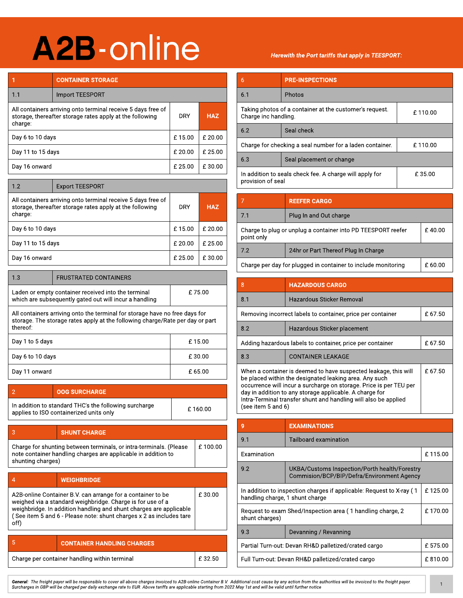| 1                                                                                                                                   | <b>CONTAINER STORAGE</b> |        |            |
|-------------------------------------------------------------------------------------------------------------------------------------|--------------------------|--------|------------|
| 1.1                                                                                                                                 | <b>Import TEESPORT</b>   |        |            |
| All containers arriving onto terminal receive 5 days free of<br>storage, thereafter storage rates apply at the following<br>charge: |                          | DRY    | <b>HAZ</b> |
| Day 6 to 10 days                                                                                                                    |                          | £15.00 | £ 20.00    |
| Day 11 to 15 days                                                                                                                   |                          | £20.00 | £25.00     |
| Day 16 onward                                                                                                                       |                          | £25.00 | £30.00     |

| 1.2                                                                                                                                 | <b>Export TEESPORT</b> |         |            |
|-------------------------------------------------------------------------------------------------------------------------------------|------------------------|---------|------------|
| All containers arriving onto terminal receive 5 days free of<br>storage, thereafter storage rates apply at the following<br>charge: |                        | DRY     | <b>HAZ</b> |
| Day 6 to 10 days                                                                                                                    |                        | £15.00  | £20.00     |
| Day 11 to 15 days                                                                                                                   |                        | £20.00  | £25.00     |
| Day 16 onward                                                                                                                       |                        | £ 25.00 | £30.00     |

| 1.3                                                                                                                                                                      | <b>FRUSTRATED CONTAINERS</b> |         |  |
|--------------------------------------------------------------------------------------------------------------------------------------------------------------------------|------------------------------|---------|--|
| £75.00<br>Laden or empty container received into the terminal<br>which are subsequently gated out will incur a handling                                                  |                              |         |  |
| All containers arriving onto the terminal for storage have no free days for<br>storage. The storage rates apply at the following charge/Rate per day or part<br>thereof: |                              |         |  |
| Day 1 to 5 days<br>£15.00                                                                                                                                                |                              |         |  |
| Day 6 to 10 days                                                                                                                                                         |                              | £30.00  |  |
| Day 11 onward                                                                                                                                                            |                              | £ 65.00 |  |

| <b>OOG SURCHARGE</b>                                                                             |         |
|--------------------------------------------------------------------------------------------------|---------|
| In addition to standard THC's the following surcharge<br>applies to ISO containerized units only | £160.00 |

|                   | <b>SHUNT CHARGE</b>                                                                                                                 |         |
|-------------------|-------------------------------------------------------------------------------------------------------------------------------------|---------|
| shunting charges) | Charge for shunting between terminals, or intra-terminals. (Please<br>note container handling charges are applicable in addition to | £100.00 |
|                   |                                                                                                                                     |         |

|                                                                                                                                                                                                                                                                                | <b>WEIGHBRIDGE</b>                |        |
|--------------------------------------------------------------------------------------------------------------------------------------------------------------------------------------------------------------------------------------------------------------------------------|-----------------------------------|--------|
| A2B-online Container B.V. can arrange for a container to be<br>weighed via a standard weighbridge. Charge is for use of a<br>weighbridge. In addition handling and shunt charges are applicable<br>(See item 5 and 6 - Please note: shunt charges x 2 as includes tare<br>off) |                                   | £30.00 |
|                                                                                                                                                                                                                                                                                |                                   |        |
|                                                                                                                                                                                                                                                                                | <b>CONTAINER HANDLING CHARGES</b> |        |

Charge per container handling within terminal **E** 32.50

#### **Herewith the Port tariffs that apply in TEESPORT:**

| 6                                                                                          | <b>PRE-INSPECTIONS</b>   |  |
|--------------------------------------------------------------------------------------------|--------------------------|--|
| 6.1                                                                                        | Photos                   |  |
| Taking photos of a container at the customer's request.<br>£110.00<br>Charge inc handling. |                          |  |
| 6.2                                                                                        | Seal check               |  |
| £110.00<br>Charge for checking a seal number for a laden container.                        |                          |  |
| 6.3                                                                                        | Seal placement or change |  |
| £35.00<br>In addition to seals check fee. A charge will apply for<br>provision of seal     |                          |  |

|                                                                                      | <b>REEFER CARGO</b>                 |  |
|--------------------------------------------------------------------------------------|-------------------------------------|--|
| 7.1                                                                                  | Plug In and Out charge              |  |
| Charge to plug or unplug a container into PD TEESPORT reefer<br>£40.00<br>point only |                                     |  |
| 7.2                                                                                  | 24hr or Part Thereof Plug In Charge |  |
| Charge per day for plugged in container to include monitoring<br>£ 60.00             |                                     |  |

| 8                                                                                                                                                                                                                                                                                                                                                   | <b>HAZARDOUS CARGO</b>                                      |         |
|-----------------------------------------------------------------------------------------------------------------------------------------------------------------------------------------------------------------------------------------------------------------------------------------------------------------------------------------------------|-------------------------------------------------------------|---------|
| 8.1                                                                                                                                                                                                                                                                                                                                                 | Hazardous Sticker Removal                                   |         |
|                                                                                                                                                                                                                                                                                                                                                     | Removing incorrect labels to container, price per container | £ 67.50 |
| 8.2                                                                                                                                                                                                                                                                                                                                                 | Hazardous Sticker placement                                 |         |
| Adding hazardous labels to container, price per container                                                                                                                                                                                                                                                                                           |                                                             | £ 67.50 |
| 8.3                                                                                                                                                                                                                                                                                                                                                 | <b>CONTAINER LEAKAGE</b>                                    |         |
| When a container is deemed to have suspected leakage, this will<br>be placed within the designated leaking area. Any such<br>occurrence will incur a surcharge on storage. Price is per TEU per<br>day in addition to any storage applicable. A charge for<br>Intra-Terminal transfer shunt and handling will also be applied<br>(see item 5 and 6) |                                                             | £ 67.50 |

| 9                                                                                                                  | <b>EXAMINATIONS</b>                                                                         |         |
|--------------------------------------------------------------------------------------------------------------------|---------------------------------------------------------------------------------------------|---------|
| 9.1                                                                                                                | Tailboard examination                                                                       |         |
| Examination                                                                                                        |                                                                                             | £115.00 |
| 9.2                                                                                                                | UKBA/Customs Inspection/Porth health/Forestry<br>Commision/BCP/BIP/Defra/Environment Agency |         |
| In addition to inspection charges if applicable: Request to X-ray (1<br>£125.00<br>handling charge, 1 shunt charge |                                                                                             |         |
| £170.00<br>Request to exam Shed/Inspection area (1 handling charge, 2<br>shunt charges)                            |                                                                                             |         |
| 9.3                                                                                                                | Devanning / Revanning                                                                       |         |
| Partial Turn-out: Devan RH&D palletized/crated cargo                                                               |                                                                                             | £575.00 |
| Full Turn-out: Devan RH&D palletized/crated cargo                                                                  |                                                                                             | £810.00 |

**General:** The freight payer will be responsible to cover all above charges invoiced to A2B-online Container B.V. Additional cost cause by any action from the authorities will be invoiced to the freight payer.<br>Surcharges i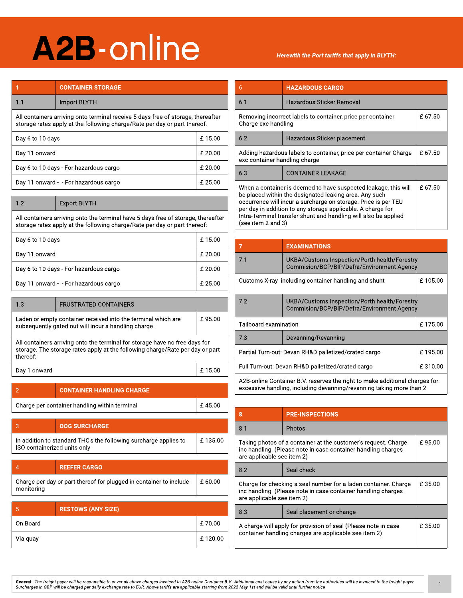#### **Herewith the Port tariffs that apply in BLYTH:**

|                                                                                                                                                               | <b>CONTAINER STORAGE</b> |         |
|---------------------------------------------------------------------------------------------------------------------------------------------------------------|--------------------------|---------|
| 1.1                                                                                                                                                           | <b>Import BLYTH</b>      |         |
| All containers arriving onto terminal receive 5 days free of storage, thereafter<br>storage rates apply at the following charge/Rate per day or part thereof: |                          |         |
| £15.00<br>Day 6 to 10 days                                                                                                                                    |                          |         |
| Day 11 onward                                                                                                                                                 |                          | £20.00  |
| Day 6 to 10 days - For hazardous cargo                                                                                                                        |                          | £ 20.00 |
| Day 11 onward - - For hazardous cargo                                                                                                                         |                          | £ 25.00 |

| 1.2                                                                                                                                                            | <b>Export BLYTH</b> |         |
|----------------------------------------------------------------------------------------------------------------------------------------------------------------|---------------------|---------|
| All containers arriving onto the terminal have 5 days free of storage, thereafter<br>storage rates apply at the following charge/Rate per day or part thereof: |                     |         |
| £15.00<br>Day 6 to 10 days                                                                                                                                     |                     |         |
| Day 11 onward                                                                                                                                                  |                     | £ 20.00 |
|                                                                                                                                                                |                     |         |

| Day 6 to 10 days - For hazardous cargo |                               | £20.00  |
|----------------------------------------|-------------------------------|---------|
| Day 11 onward - - For hazardous cargo  |                               | £ 25.00 |
|                                        |                               |         |
| 1 <sub>2</sub>                         | <b>EDUCTDATED CONTAINIEDC</b> |         |

| 1.3                                                                                                                                                                      | <b>FRUSTRATED CONTAINERS</b> |        |
|--------------------------------------------------------------------------------------------------------------------------------------------------------------------------|------------------------------|--------|
| Laden or empty container received into the terminal which are<br>£95.00<br>subsequently gated out will incur a handling charge.                                          |                              |        |
| All containers arriving onto the terminal for storage have no free days for<br>storage. The storage rates apply at the following charge/Rate per day or part<br>thereof: |                              |        |
| Day 1 onward                                                                                                                                                             |                              | £15.00 |
|                                                                                                                                                                          |                              |        |

| <b>CONTAINER HANDLING CHARGE</b>              |        |
|-----------------------------------------------|--------|
| Charge per container handling within terminal | £45.00 |

| 3                                                                                                | <b>OOG SURCHARGE</b>      |         |
|--------------------------------------------------------------------------------------------------|---------------------------|---------|
| In addition to standard THC's the following surcharge applies to<br>ISO containerized units only |                           | £135.00 |
|                                                                                                  |                           |         |
| 4                                                                                                | <b>REEFER CARGO</b>       |         |
| Charge per day or part thereof for plugged in container to include<br>monitoring                 |                           | £60.00  |
|                                                                                                  |                           |         |
| 5                                                                                                | <b>RESTOWS (ANY SIZE)</b> |         |
| On Board                                                                                         |                           | £70.00  |

Via quay and the contract of the contract of the contract of the 120.00  $\pm$  120.00

| 6                                                                                                                                                                                                                                                                                                                                                   | <b>HAZARDOUS CARGO</b>      |         |
|-----------------------------------------------------------------------------------------------------------------------------------------------------------------------------------------------------------------------------------------------------------------------------------------------------------------------------------------------------|-----------------------------|---------|
| 6.1                                                                                                                                                                                                                                                                                                                                                 | Hazardous Sticker Removal   |         |
| Removing incorrect labels to container, price per container<br>Charge exc handling                                                                                                                                                                                                                                                                  |                             | £ 67.50 |
| 6.2                                                                                                                                                                                                                                                                                                                                                 | Hazardous Sticker placement |         |
| £ 67.50<br>Adding hazardous labels to container, price per container Charge<br>exc container handling charge                                                                                                                                                                                                                                        |                             |         |
| 6.3                                                                                                                                                                                                                                                                                                                                                 | <b>CONTAINER LEAKAGE</b>    |         |
| When a container is deemed to have suspected leakage, this will<br>be placed within the designated leaking area. Any such<br>occurrence will incur a surcharge on storage. Price is per TEU<br>per day in addition to any storage applicable. A charge for<br>Intra-Terminal transfer shunt and handling will also be applied<br>(see item 2 and 3) |                             | £67.50  |

| 7                                                                                                                                                   | <b>EXAMINATIONS</b>                                                                         |         |
|-----------------------------------------------------------------------------------------------------------------------------------------------------|---------------------------------------------------------------------------------------------|---------|
| 7.1                                                                                                                                                 | UKBA/Customs Inspection/Porth health/Forestry<br>Commision/BCP/BIP/Defra/Environment Agency |         |
| £105.00<br>Customs X-ray including container handling and shunt                                                                                     |                                                                                             |         |
| 7.2                                                                                                                                                 | UKBA/Customs Inspection/Porth health/Forestry<br>Commision/BCP/BIP/Defra/Environment Agency |         |
| Tailboard examination                                                                                                                               |                                                                                             | £175.00 |
| 7.3                                                                                                                                                 | Devanning/Revanning                                                                         |         |
| £195.00<br>Partial Turn-out: Devan RH&D palletized/crated cargo                                                                                     |                                                                                             |         |
| £310.00<br>Full Turn-out: Devan RH&D palletized/crated cargo                                                                                        |                                                                                             |         |
| A2B-online Container B.V. reserves the right to make additional charges for<br>excessive handling, including devanning/revanning taking more than 2 |                                                                                             |         |

| 8                                                                                                                                                                        | <b>PRE-INSPECTIONS</b>   |        |
|--------------------------------------------------------------------------------------------------------------------------------------------------------------------------|--------------------------|--------|
| 8.1                                                                                                                                                                      | Photos                   |        |
| £95.00<br>Taking photos of a container at the customer's request. Charge<br>inc handling. (Please note in case container handling charges<br>are applicable see item 2)  |                          |        |
| 8.2                                                                                                                                                                      | Seal check               |        |
| Charge for checking a seal number for a laden container. Charge<br>£35.00<br>inc handling. (Please note in case container handling charges<br>are applicable see item 2) |                          |        |
| 8.3                                                                                                                                                                      | Seal placement or change |        |
| A charge will apply for provision of seal (Please note in case<br>container handling charges are applicable see item 2)                                                  |                          | £35.00 |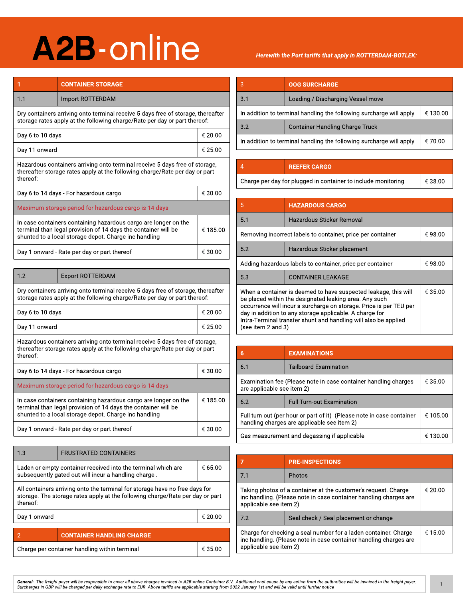| 1                                                                                                                                                                                                      | <b>CONTAINER STORAGE</b>                                                            |         |
|--------------------------------------------------------------------------------------------------------------------------------------------------------------------------------------------------------|-------------------------------------------------------------------------------------|---------|
| 1.1                                                                                                                                                                                                    | Import ROTTERDAM                                                                    |         |
| Dry containers arriving onto terminal receive 5 days free of storage, thereafter<br>storage rates apply at the following charge/Rate per day or part thereof:                                          |                                                                                     |         |
| Day 6 to 10 days                                                                                                                                                                                       |                                                                                     | € 20.00 |
| Day 11 onward                                                                                                                                                                                          |                                                                                     | € 25.00 |
| Hazardous containers arriving onto terminal receive 5 days free of storage,<br>thereafter storage rates apply at the following charge/Rate per day or part<br>thereof:                                 |                                                                                     |         |
| € 30.00<br>Day 6 to 14 days - For hazardous cargo                                                                                                                                                      |                                                                                     |         |
| Maximum storage period for hazardous cargo is 14 days                                                                                                                                                  |                                                                                     |         |
| In case containers containing hazardous cargo are longer on the<br>terminal than legal provision of 14 days the container will be<br>€ 185.00<br>shunted to a local storage depot. Charge inc handling |                                                                                     |         |
| € 30.00<br>Day 1 onward - Rate per day or part thereof                                                                                                                                                 |                                                                                     |         |
|                                                                                                                                                                                                        |                                                                                     |         |
| 1.2                                                                                                                                                                                                    | <b>Export ROTTERDAM</b>                                                             |         |
|                                                                                                                                                                                                        | Darracatain ann ann inn an an t-ann in a na airm. E-darra fuas af atanan a thanacft |         |

Dry containers arriving onto terminal receive 5 days free of storage, thereafter storage rates apply at the following charge/Rate per day or part thereof:

Day 6 to 10 days  $60 - 20.00$ Day 11 onward  $\left| \begin{array}{c} 25.00 \end{array} \right|$ Hazardous containers arriving onto terminal receive 5 days free of storage, thereafter storage rates apply at the following charge/Rate per day or part thereof: Day 6 to 14 days - For hazardous cargo  $\left| \right. \in 30.00$ 

| Maximum storage period for hazardous cargo is 14 days                                                                                                                                      |          |
|--------------------------------------------------------------------------------------------------------------------------------------------------------------------------------------------|----------|
| In case containers containing hazardous cargo are longer on the<br>terminal than legal provision of 14 days the container will be<br>shunted to a local storage depot. Charge inc handling | € 185.00 |
| Day 1 onward - Rate per day or part thereof                                                                                                                                                | € 30.00  |

| 1.3                                                                                                                                                                      | <b>FRUSTRATED CONTAINERS</b>     |  |
|--------------------------------------------------------------------------------------------------------------------------------------------------------------------------|----------------------------------|--|
| € 65.00<br>Laden or empty container received into the terminal which are<br>subsequently gated out will incur a handling charge.                                         |                                  |  |
| All containers arriving onto the terminal for storage have no free days for<br>storage. The storage rates apply at the following charge/Rate per day or part<br>thereof: |                                  |  |
| € 20.00<br>Day 1 onward                                                                                                                                                  |                                  |  |
|                                                                                                                                                                          |                                  |  |
| 2                                                                                                                                                                        | <b>CONTAINER HANDLING CHARGE</b> |  |
| Charge per container handling within terminal<br>€ 35.00                                                                                                                 |                                  |  |

#### **Herewith the Port tariffs that apply in ROTTERDAM-BOTLEK:**

| 3                                                                               | <b>OOG SURCHARGE</b>                   |  |
|---------------------------------------------------------------------------------|----------------------------------------|--|
| 3.1                                                                             | Loading / Discharging Vessel move      |  |
| In addition to terminal handling the following surcharge will apply<br>€ 130.00 |                                        |  |
| 3.2                                                                             | <b>Container Handling Charge Truck</b> |  |
| In addition to terminal handling the following surcharge will apply<br>€ 70.00  |                                        |  |

|                                                               | <b>REEFER CARGO</b> |         |
|---------------------------------------------------------------|---------------------|---------|
| Charge per day for plugged in container to include monitoring |                     | € 38.00 |

| 5                                                                                                                                                                                                                                                                                                                                                   | <b>HAZARDOUS CARGO</b>                                      |         |
|-----------------------------------------------------------------------------------------------------------------------------------------------------------------------------------------------------------------------------------------------------------------------------------------------------------------------------------------------------|-------------------------------------------------------------|---------|
| 5.1                                                                                                                                                                                                                                                                                                                                                 | Hazardous Sticker Removal                                   |         |
|                                                                                                                                                                                                                                                                                                                                                     | Removing incorrect labels to container, price per container | € 98.00 |
| 5.2                                                                                                                                                                                                                                                                                                                                                 | Hazardous Sticker placement                                 |         |
|                                                                                                                                                                                                                                                                                                                                                     | Adding hazardous labels to container, price per container   | € 98.00 |
| 5.3                                                                                                                                                                                                                                                                                                                                                 | <b>CONTAINER LEAKAGE</b>                                    |         |
| When a container is deemed to have suspected leakage, this will<br>be placed within the designated leaking area. Any such<br>occurrence will incur a surcharge on storage. Price is per TEU per<br>day in addition to any storage applicable. A charge for<br>Intra-Terminal transfer shunt and handling will also be applied<br>(see item 2 and 3) |                                                             | € 35.00 |

| 6                                                                                                                    | <b>EXAMINATIONS</b>              |          |
|----------------------------------------------------------------------------------------------------------------------|----------------------------------|----------|
|                                                                                                                      |                                  |          |
| 6.1                                                                                                                  | <b>Tailboard Examination</b>     |          |
| Examination fee (Please note in case container handling charges<br>are applicable see item 2)                        |                                  | € 35.00  |
| 6.2                                                                                                                  | <b>Full Turn-out Examination</b> |          |
| Full turn out (per hour or part of it) (Please note in case container<br>handling charges are applicable see item 2) |                                  | € 105.00 |
| Gas measurement and degassing if applicable                                                                          |                                  | € 130.00 |

|                                                                                                                                                                | <b>PRE-INSPECTIONS</b>                                                                                                              |         |
|----------------------------------------------------------------------------------------------------------------------------------------------------------------|-------------------------------------------------------------------------------------------------------------------------------------|---------|
| 7.1                                                                                                                                                            | Photos                                                                                                                              |         |
| applicable see item 2)                                                                                                                                         | Taking photos of a container at the customer's request. Charge<br>inc handling. (Please note in case container handling charges are | € 20.00 |
| 7.2                                                                                                                                                            | Seal check / Seal placement or change                                                                                               |         |
| Charge for checking a seal number for a laden container. Charge<br>inc handling. (Please note in case container handling charges are<br>applicable see item 2) |                                                                                                                                     | € 15.00 |